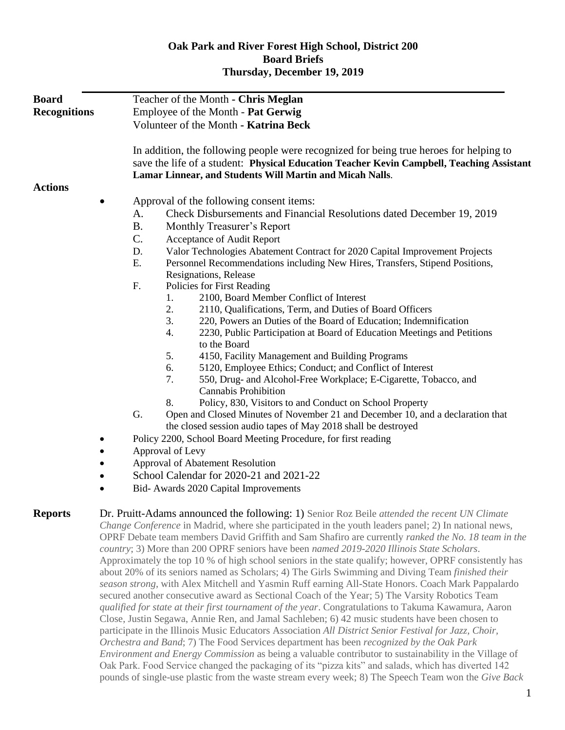## **Oak Park and River Forest High School, District 200 Board Briefs Thursday, December 19, 2019**

| <b>Board</b><br><b>Recognitions</b> | Teacher of the Month - Chris Meglan<br>Employee of the Month - Pat Gerwig<br>Volunteer of the Month - Katrina Beck                                                                                                                                                                                                                                                                                                                                                                                                                                                                                                                                                                                                                                                                                                                                                                                                                                                                                                                                                                                                                                                                                                                                                                                                                                                                                                                                                                                                                                                               |
|-------------------------------------|----------------------------------------------------------------------------------------------------------------------------------------------------------------------------------------------------------------------------------------------------------------------------------------------------------------------------------------------------------------------------------------------------------------------------------------------------------------------------------------------------------------------------------------------------------------------------------------------------------------------------------------------------------------------------------------------------------------------------------------------------------------------------------------------------------------------------------------------------------------------------------------------------------------------------------------------------------------------------------------------------------------------------------------------------------------------------------------------------------------------------------------------------------------------------------------------------------------------------------------------------------------------------------------------------------------------------------------------------------------------------------------------------------------------------------------------------------------------------------------------------------------------------------------------------------------------------------|
|                                     | In addition, the following people were recognized for being true heroes for helping to<br>save the life of a student: Physical Education Teacher Kevin Campbell, Teaching Assistant<br>Lamar Linnear, and Students Will Martin and Micah Nalls.                                                                                                                                                                                                                                                                                                                                                                                                                                                                                                                                                                                                                                                                                                                                                                                                                                                                                                                                                                                                                                                                                                                                                                                                                                                                                                                                  |
| <b>Actions</b>                      |                                                                                                                                                                                                                                                                                                                                                                                                                                                                                                                                                                                                                                                                                                                                                                                                                                                                                                                                                                                                                                                                                                                                                                                                                                                                                                                                                                                                                                                                                                                                                                                  |
|                                     | Approval of the following consent items:                                                                                                                                                                                                                                                                                                                                                                                                                                                                                                                                                                                                                                                                                                                                                                                                                                                                                                                                                                                                                                                                                                                                                                                                                                                                                                                                                                                                                                                                                                                                         |
|                                     | Check Disbursements and Financial Resolutions dated December 19, 2019<br>A.                                                                                                                                                                                                                                                                                                                                                                                                                                                                                                                                                                                                                                                                                                                                                                                                                                                                                                                                                                                                                                                                                                                                                                                                                                                                                                                                                                                                                                                                                                      |
|                                     | <b>B.</b><br>Monthly Treasurer's Report                                                                                                                                                                                                                                                                                                                                                                                                                                                                                                                                                                                                                                                                                                                                                                                                                                                                                                                                                                                                                                                                                                                                                                                                                                                                                                                                                                                                                                                                                                                                          |
|                                     | C.<br>Acceptance of Audit Report                                                                                                                                                                                                                                                                                                                                                                                                                                                                                                                                                                                                                                                                                                                                                                                                                                                                                                                                                                                                                                                                                                                                                                                                                                                                                                                                                                                                                                                                                                                                                 |
|                                     | D.<br>Valor Technologies Abatement Contract for 2020 Capital Improvement Projects                                                                                                                                                                                                                                                                                                                                                                                                                                                                                                                                                                                                                                                                                                                                                                                                                                                                                                                                                                                                                                                                                                                                                                                                                                                                                                                                                                                                                                                                                                |
|                                     | E.<br>Personnel Recommendations including New Hires, Transfers, Stipend Positions,                                                                                                                                                                                                                                                                                                                                                                                                                                                                                                                                                                                                                                                                                                                                                                                                                                                                                                                                                                                                                                                                                                                                                                                                                                                                                                                                                                                                                                                                                               |
|                                     | Resignations, Release                                                                                                                                                                                                                                                                                                                                                                                                                                                                                                                                                                                                                                                                                                                                                                                                                                                                                                                                                                                                                                                                                                                                                                                                                                                                                                                                                                                                                                                                                                                                                            |
|                                     | F.<br>Policies for First Reading                                                                                                                                                                                                                                                                                                                                                                                                                                                                                                                                                                                                                                                                                                                                                                                                                                                                                                                                                                                                                                                                                                                                                                                                                                                                                                                                                                                                                                                                                                                                                 |
|                                     | 2100, Board Member Conflict of Interest<br>1.                                                                                                                                                                                                                                                                                                                                                                                                                                                                                                                                                                                                                                                                                                                                                                                                                                                                                                                                                                                                                                                                                                                                                                                                                                                                                                                                                                                                                                                                                                                                    |
|                                     | 2.<br>2110, Qualifications, Term, and Duties of Board Officers                                                                                                                                                                                                                                                                                                                                                                                                                                                                                                                                                                                                                                                                                                                                                                                                                                                                                                                                                                                                                                                                                                                                                                                                                                                                                                                                                                                                                                                                                                                   |
|                                     | 3.<br>220, Powers an Duties of the Board of Education; Indemnification                                                                                                                                                                                                                                                                                                                                                                                                                                                                                                                                                                                                                                                                                                                                                                                                                                                                                                                                                                                                                                                                                                                                                                                                                                                                                                                                                                                                                                                                                                           |
|                                     | 2230, Public Participation at Board of Education Meetings and Petitions<br>4.<br>to the Board                                                                                                                                                                                                                                                                                                                                                                                                                                                                                                                                                                                                                                                                                                                                                                                                                                                                                                                                                                                                                                                                                                                                                                                                                                                                                                                                                                                                                                                                                    |
|                                     | 5.<br>4150, Facility Management and Building Programs                                                                                                                                                                                                                                                                                                                                                                                                                                                                                                                                                                                                                                                                                                                                                                                                                                                                                                                                                                                                                                                                                                                                                                                                                                                                                                                                                                                                                                                                                                                            |
|                                     | 6.<br>5120, Employee Ethics; Conduct; and Conflict of Interest                                                                                                                                                                                                                                                                                                                                                                                                                                                                                                                                                                                                                                                                                                                                                                                                                                                                                                                                                                                                                                                                                                                                                                                                                                                                                                                                                                                                                                                                                                                   |
|                                     | 7.<br>550, Drug- and Alcohol-Free Workplace; E-Cigarette, Tobacco, and                                                                                                                                                                                                                                                                                                                                                                                                                                                                                                                                                                                                                                                                                                                                                                                                                                                                                                                                                                                                                                                                                                                                                                                                                                                                                                                                                                                                                                                                                                           |
|                                     | <b>Cannabis Prohibition</b>                                                                                                                                                                                                                                                                                                                                                                                                                                                                                                                                                                                                                                                                                                                                                                                                                                                                                                                                                                                                                                                                                                                                                                                                                                                                                                                                                                                                                                                                                                                                                      |
|                                     | Policy, 830, Visitors to and Conduct on School Property<br>8.                                                                                                                                                                                                                                                                                                                                                                                                                                                                                                                                                                                                                                                                                                                                                                                                                                                                                                                                                                                                                                                                                                                                                                                                                                                                                                                                                                                                                                                                                                                    |
|                                     | G.<br>Open and Closed Minutes of November 21 and December 10, and a declaration that                                                                                                                                                                                                                                                                                                                                                                                                                                                                                                                                                                                                                                                                                                                                                                                                                                                                                                                                                                                                                                                                                                                                                                                                                                                                                                                                                                                                                                                                                             |
|                                     | the closed session audio tapes of May 2018 shall be destroyed                                                                                                                                                                                                                                                                                                                                                                                                                                                                                                                                                                                                                                                                                                                                                                                                                                                                                                                                                                                                                                                                                                                                                                                                                                                                                                                                                                                                                                                                                                                    |
|                                     | Policy 2200, School Board Meeting Procedure, for first reading                                                                                                                                                                                                                                                                                                                                                                                                                                                                                                                                                                                                                                                                                                                                                                                                                                                                                                                                                                                                                                                                                                                                                                                                                                                                                                                                                                                                                                                                                                                   |
|                                     | Approval of Levy                                                                                                                                                                                                                                                                                                                                                                                                                                                                                                                                                                                                                                                                                                                                                                                                                                                                                                                                                                                                                                                                                                                                                                                                                                                                                                                                                                                                                                                                                                                                                                 |
|                                     | Approval of Abatement Resolution                                                                                                                                                                                                                                                                                                                                                                                                                                                                                                                                                                                                                                                                                                                                                                                                                                                                                                                                                                                                                                                                                                                                                                                                                                                                                                                                                                                                                                                                                                                                                 |
|                                     | School Calendar for 2020-21 and 2021-22                                                                                                                                                                                                                                                                                                                                                                                                                                                                                                                                                                                                                                                                                                                                                                                                                                                                                                                                                                                                                                                                                                                                                                                                                                                                                                                                                                                                                                                                                                                                          |
|                                     | Bid- Awards 2020 Capital Improvements<br>$\bullet$                                                                                                                                                                                                                                                                                                                                                                                                                                                                                                                                                                                                                                                                                                                                                                                                                                                                                                                                                                                                                                                                                                                                                                                                                                                                                                                                                                                                                                                                                                                               |
|                                     |                                                                                                                                                                                                                                                                                                                                                                                                                                                                                                                                                                                                                                                                                                                                                                                                                                                                                                                                                                                                                                                                                                                                                                                                                                                                                                                                                                                                                                                                                                                                                                                  |
| <b>Reports</b>                      | Dr. Pruitt-Adams announced the following: 1) Senior Roz Beile <i>attended the recent UN Climate</i><br>Change Conference in Madrid, where she participated in the youth leaders panel; 2) In national news,<br>OPRF Debate team members David Griffith and Sam Shafiro are currently ranked the No. 18 team in the<br>country; 3) More than 200 OPRF seniors have been named 2019-2020 Illinois State Scholars.<br>Approximately the top 10 % of high school seniors in the state qualify; however, OPRF consistently has<br>about 20% of its seniors named as Scholars; 4) The Girls Swimming and Diving Team finished their<br>season strong, with Alex Mitchell and Yasmin Ruff earning All-State Honors. Coach Mark Pappalardo<br>secured another consecutive award as Sectional Coach of the Year; 5) The Varsity Robotics Team<br>qualified for state at their first tournament of the year. Congratulations to Takuma Kawamura, Aaron<br>Close, Justin Segawa, Annie Ren, and Jamal Sachleben; 6) 42 music students have been chosen to<br>participate in the Illinois Music Educators Association All District Senior Festival for Jazz, Choir,<br>Orchestra and Band; 7) The Food Services department has been recognized by the Oak Park<br><i>Environment and Energy Commission</i> as being a valuable contributor to sustainability in the Village of<br>Oak Park. Food Service changed the packaging of its "pizza kits" and salads, which has diverted 142<br>pounds of single-use plastic from the waste stream every week; 8) The Speech Team won the Give Back |